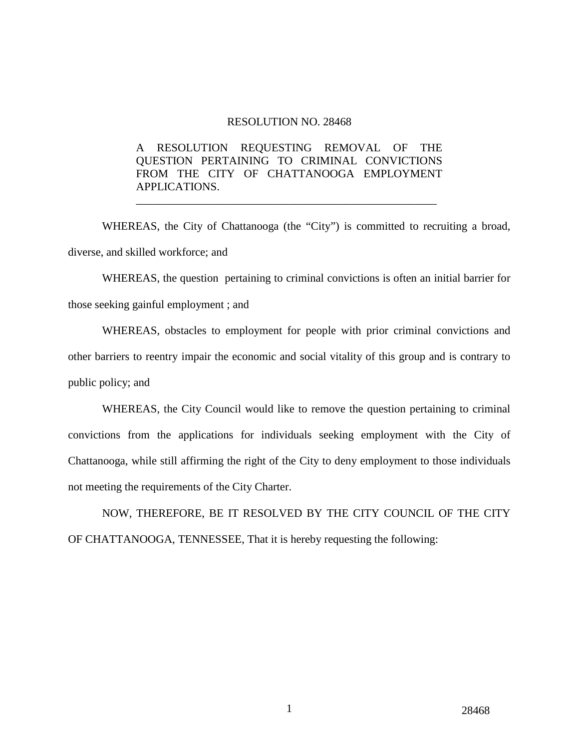## RESOLUTION NO. 28468

## A RESOLUTION REQUESTING REMOVAL OF THE QUESTION PERTAINING TO CRIMINAL CONVICTIONS FROM THE CITY OF CHATTANOOGA EMPLOYMENT APPLICATIONS.

 WHEREAS, the City of Chattanooga (the "City") is committed to recruiting a broad, diverse, and skilled workforce; and

\_\_\_\_\_\_\_\_\_\_\_\_\_\_\_\_\_\_\_\_\_\_\_\_\_\_\_\_\_\_\_\_\_\_\_\_\_\_\_\_\_\_\_\_\_\_\_\_\_\_\_\_\_

WHEREAS, the question pertaining to criminal convictions is often an initial barrier for those seeking gainful employment ; and

WHEREAS, obstacles to employment for people with prior criminal convictions and other barriers to reentry impair the economic and social vitality of this group and is contrary to public policy; and

WHEREAS, the City Council would like to remove the question pertaining to criminal convictions from the applications for individuals seeking employment with the City of Chattanooga, while still affirming the right of the City to deny employment to those individuals not meeting the requirements of the City Charter.

NOW, THEREFORE, BE IT RESOLVED BY THE CITY COUNCIL OF THE CITY OF CHATTANOOGA, TENNESSEE, That it is hereby requesting the following: